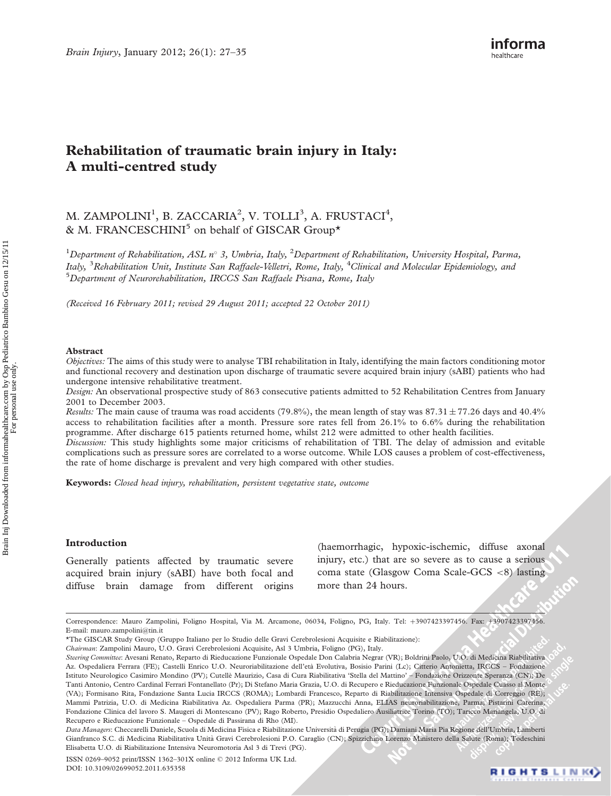# Rehabilitation of traumatic brain injury in Italy: A multi-centred study

## M. ZAMPOLINI<sup>1</sup>, B. ZACCARIA<sup>2</sup>, V. TOLLI<sup>3</sup>, A. FRUSTACI<sup>4</sup>, & M. FRANCESCHINI<sup>5</sup> on behalf of GISCAR Group\*

<sup>1</sup>Department of Rehabilitation, ASL n° 3, Umbria, Italy, <sup>2</sup>Department of Rehabilitation, University Hospital, Parma, Italy, <sup>3</sup>Rehabilitation Unit, Institute San Raffaele-Velletri, Rome, Italy, <sup>4</sup>Clinical and Molecular Epidemiology, and <sup>5</sup>Department of Neurorehabilitation, IRCCS San Raffaele Pisana, Rome, Italy

(Received 16 February 2011; revised 29 August 2011; accepted 22 October 2011)

#### Abstract

Objectives: The aims of this study were to analyse TBI rehabilitation in Italy, identifying the main factors conditioning motor and functional recovery and destination upon discharge of traumatic severe acquired brain injury (sABI) patients who had undergone intensive rehabilitative treatment.

Design: An observational prospective study of 863 consecutive patients admitted to 52 Rehabilitation Centres from January 2001 to December 2003.

Results: The main cause of trauma was road accidents (79.8%), the mean length of stay was  $87.31 \pm 77.26$  days and  $40.4\%$ access to rehabilitation facilities after a month. Pressure sore rates fell from 26.1% to 6.6% during the rehabilitation programme. After discharge 615 patients returned home, whilst 212 were admitted to other health facilities.

Discussion: This study highlights some major criticisms of rehabilitation of TBI. The delay of admission and evitable complications such as pressure sores are correlated to a worse outcome. While LOS causes a problem of cost-effectiveness, the rate of home discharge is prevalent and very high compared with other studies.

Keywords: Closed head injury, rehabilitation, persistent vegetative state, outcome

#### Introduction

Generally patients affected by traumatic severe acquired brain injury (sABI) have both focal and diffuse brain damage from different origins

(haemorrhagic, hypoxic-ischemic, diffuse axonal injury, etc.) that are so severe as to cause a serious coma state (Glasgow Coma Scale-GCS <8) lasting more than 24 hours.

Correspondence: Mauro Zampolini, Foligno Hospital, Via M. Arcamone, 06034, Foligno, PG, Italy. Tel: +3907423397456. Fax: +3907423397456. E-mail: mauro.zampolini@tin.it

Chairman: Zampolini Mauro, U.O. Gravi Cerebrolesioni Acquisite, Asl 3 Umbria, Foligno (PG), Italy.

Data Managers: Checcarelli Daniele, Scuola di Medicina Fisica e Riabilitazione Università di Perugia (PG); Damiani Maria Pia Regione dell'Umbria, Lamberti Gianfranco S.C. di Medicina Riabilitativa Unita` Gravi Cerebrolesioni P.O. Caraglio (CN); Spizzichino Lorenzo Ministero della Salute (Roma); Todeschini Elisabetta U.O. di Riabilitazione Intensiva Neuromotoria Asl 3 di Trevi (PG).

ISSN 0269-9052 print/ISSN 1362-301X online © 2012 Informa UK Ltd.

DOI: 10.3109/02699052.2011.635358

<sup>\*</sup>The GISCAR Study Group (Gruppo Italiano per lo Studio delle Gravi Cerebrolesioni Acquisite e Riabilitazione):

Steering Committee: Avesani Renato, Reparto di Rieducazione Funzionale Ospedale Don Calabria Negrar (VR); Boldrini Paolo, U.O. di Medicina Riabilitativa Az. Ospedaliera Ferrara (FE); Castelli Enrico U.O. Neuroriabilitazione dell'eta` Evolutiva, Bosisio Parini (Lc); Citterio Antonietta, IRCCS – Fondazione Istituto Neurologico Casimiro Mondino (PV); Cutelle` Maurizio, Casa di Cura Riabilitativa 'Stella del Mattino' – Fondazione Orizzonte Speranza (CN); De Tanti Antonio, Centro Cardinal Ferrari Fontanellato (Pr); Di Stefano Maria Grazia, U.O. di Recupero e Rieducazione Funzionale Ospedale Cuasso al Monte (VA); Formisano Rita, Fondazione Santa Lucia IRCCS (ROMA); Lombardi Francesco, Reparto di Riabilitazione Intensiva Ospedale di Correggio (RE); Mammi Patrizia, U.O. di Medicina Riabilitativa Az. Ospedaliera Parma (PR); Mazzucchi Anna, ELIAS neuroriabilitazione, Parma; Pistarini Caterina, Fondazione Clinica del lavoro S. Maugeri di Montescano (PV); Rago Roberto, Presidio Ospedaliero Ausiliatrice Torino (TO); Taricco Mariangela, U.O. di Recupero e Rieducazione Funzionale – Ospedale di Passirana di Rho (MI).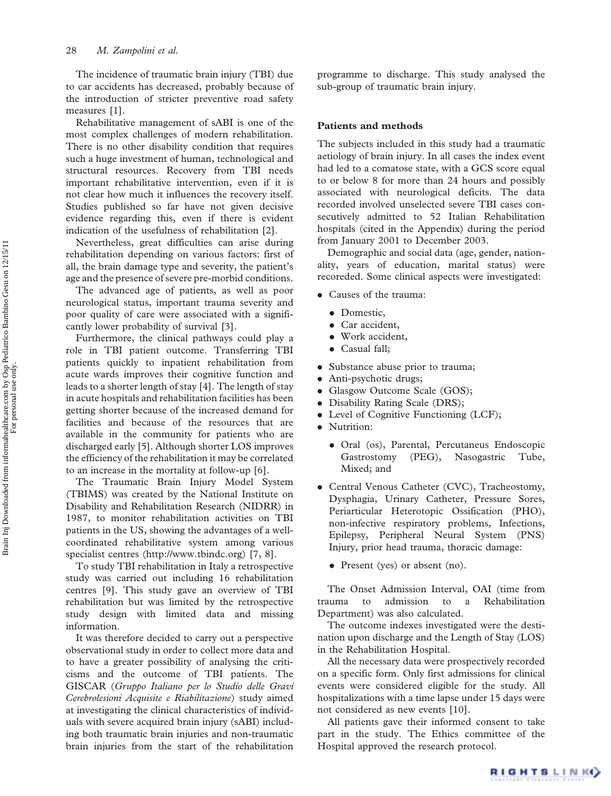The incidence of traumatic brain injury (TBI) due to car accidents has decreased, probably because of the introduction of stricter preventive road safety measures [1].

Rehabilitative management of sABI is one of the most complex challenges of modern rehabilitation. There is no other disability condition that requires such a huge investment of human, technological and structural resources. Recovery from TBI needs important rehabilitative intervention, even if it is not clear how much it influences the recovery itself. Studies published so far have not given decisive evidence regarding this, even if there is evident indication of the usefulness of rehabilitation [2].

Nevertheless, great difficulties can arise during rehabilitation depending on various factors: first of all, the brain damage type and severity, the patient's age and the presence of severe pre-morbid conditions.

The advanced age of patients, as well as poor neurological status, important trauma severity and poor quality of care were associated with a significantly lower probability of survival [3].

Furthermore, the clinical pathways could play a role in TBI patient outcome. Transferring TBI patients quickly to inpatient rehabilitation from acute wards improves their cognitive function and leads to a shorter length of stay [4]. The length of stay in acute hospitals and rehabilitation facilities has been getting shorter because of the increased demand for facilities and because of the resources that are available in the community for patients who are discharged early [5]. Although shorter LOS improves the efficiency of the rehabilitation it may be correlated to an increase in the mortality at follow-up [6].

The Traumatic Brain Injury Model System (TBIMS) was created by the National Institute on Disability and Rehabilitation Research (NIDRR) in 1987, to monitor rehabilitation activities on TBI patients in the US, showing the advantages of a wellcoordinated rehabilitative system among various specialist centres (http://www.tbindc.org) [7, 8].

To study TBI rehabilitation in Italy a retrospective study was carried out including 16 rehabilitation centres [9]. This study gave an overview of TBI rehabilitation but was limited by the retrospective study design with limited data and missing information.

It was therefore decided to carry out a perspective observational study in order to collect more data and to have a greater possibility of analysing the criticisms and the outcome of TBI patients. The GISCAR (Gruppo Italiano per lo Studio delle Gravi Cerebrolesioni Acquisite e Riabilitazione) study aimed at investigating the clinical characteristics of individuals with severe acquired brain injury (sABI) including both traumatic brain injuries and non-traumatic brain injuries from the start of the rehabilitation programme to discharge. This study analysed the sub-group of traumatic brain injury.

### Patients and methods

The subjects included in this study had a traumatic aetiology of brain injury. In all cases the index event had led to a comatose state, with a GCS score equal to or below 8 for more than 24 hours and possibly associated with neurological deficits. The data recorded involved unselected severe TBI cases consecutively admitted to 52 Italian Rehabilitation hospitals (cited in the Appendix) during the period from January 2001 to December 2003.

Demographic and social data (age, gender, nationality, years of education, marital status) were recoreded. Some clinical aspects were investigated:

- . Causes of the trauma:
	- Domestic.
	- Car accident,
	- . Work accident,
	- . Casual fall;
- . Substance abuse prior to trauma;
- . Anti-psychotic drugs;
- . Glasgow Outcome Scale (GOS);
- . Disability Rating Scale (DRS);
- . Level of Cognitive Functioning (LCF);
- . Nutrition:
	- . Oral (os), Parental, Percutaneus Endoscopic Gastrostomy (PEG), Nasogastric Tube, Mixed; and
- . Central Venous Catheter (CVC), Tracheostomy, Dysphagia, Urinary Catheter, Pressure Sores, Periarticular Heterotopic Ossification (PHO), non-infective respiratory problems, Infections, Epilepsy, Peripheral Neural System (PNS) Injury, prior head trauma, thoracic damage:
	- Present (yes) or absent (no).

The Onset Admission Interval, OAI (time from trauma to admission to a Rehabilitation Department) was also calculated.

The outcome indexes investigated were the destination upon discharge and the Length of Stay (LOS) in the Rehabilitation Hospital.

All the necessary data were prospectively recorded on a specific form. Only first admissions for clinical events were considered eligible for the study. All hospitalizations with a time lapse under 15 days were not considered as new events [10].

All patients gave their informed consent to take part in the study. The Ethics committee of the Hospital approved the research protocol.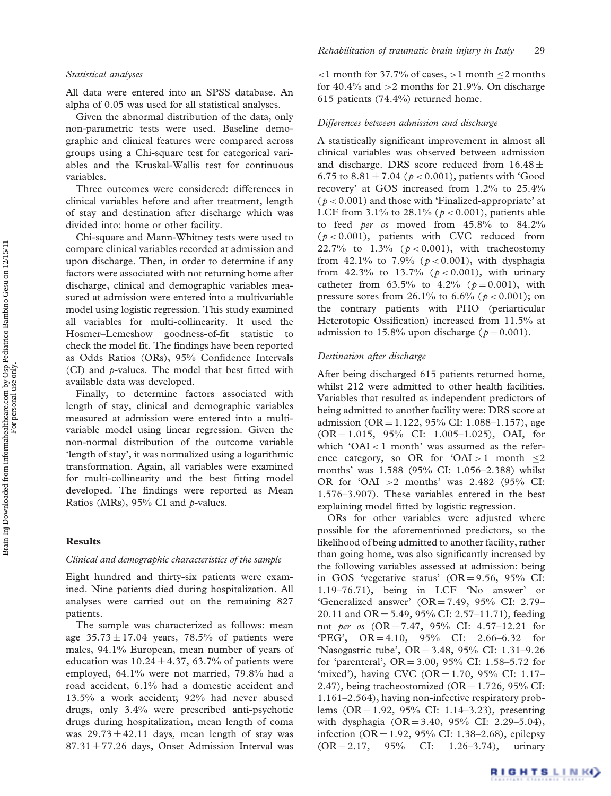## Statistical analyses

All data were entered into an SPSS database. An alpha of 0.05 was used for all statistical analyses.

Given the abnormal distribution of the data, only non-parametric tests were used. Baseline demographic and clinical features were compared across groups using a Chi-square test for categorical variables and the Kruskal-Wallis test for continuous variables.

Three outcomes were considered: differences in clinical variables before and after treatment, length of stay and destination after discharge which was divided into: home or other facility.

Chi-square and Mann-Whitney tests were used to compare clinical variables recorded at admission and upon discharge. Then, in order to determine if any factors were associated with not returning home after discharge, clinical and demographic variables measured at admission were entered into a multivariable model using logistic regression. This study examined all variables for multi-collinearity. It used the Hosmer–Lemeshow goodness-of-fit statistic to check the model fit. The findings have been reported as Odds Ratios (ORs), 95% Confidence Intervals (CI) and p-values. The model that best fitted with available data was developed.

Finally, to determine factors associated with length of stay, clinical and demographic variables measured at admission were entered into a multivariable model using linear regression. Given the non-normal distribution of the outcome variable 'length of stay', it was normalized using a logarithmic transformation. Again, all variables were examined for multi-collinearity and the best fitting model developed. The findings were reported as Mean Ratios (MRs), 95% CI and  $p$ -values.

## **Results**

#### Clinical and demographic characteristics of the sample

Eight hundred and thirty-six patients were examined. Nine patients died during hospitalization. All analyses were carried out on the remaining 827 patients.

The sample was characterized as follows: mean age  $35.73 \pm 17.04$  years, 78.5% of patients were males, 94.1% European, mean number of years of education was  $10.24 \pm 4.37$ , 63.7% of patients were employed, 64.1% were not married, 79.8% had a road accident, 6.1% had a domestic accident and 13.5% a work accident; 92% had never abused drugs, only 3.4% were prescribed anti-psychotic drugs during hospitalization, mean length of coma was  $29.73 \pm 42.11$  days, mean length of stay was  $87.31 \pm 77.26$  days, Onset Admission Interval was

 $\leq$ 1 month for 37.7% of cases,  $>$ 1 month  $\leq$ 2 months for 40.4% and  $>2$  months for 21.9%. On discharge 615 patients (74.4%) returned home.

## Differences between admission and discharge

A statistically significant improvement in almost all clinical variables was observed between admission and discharge. DRS score reduced from  $16.48 \pm$ 6.75 to  $8.81 \pm 7.04$  ( $p < 0.001$ ), patients with 'Good recovery' at GOS increased from 1.2% to 25.4%  $(p < 0.001)$  and those with 'Finalized-appropriate' at LCF from 3.1% to 28.1% ( $p < 0.001$ ), patients able to feed per os moved from  $45.8\%$  to  $84.2\%$  $(p < 0.001)$ , patients with CVC reduced from 22.7% to 1.3% ( $p < 0.001$ ), with tracheostomy from 42.1% to 7.9% ( $p < 0.001$ ), with dysphagia from 42.3% to 13.7% ( $p < 0.001$ ), with urinary catheter from 63.5% to 4.2% ( $p = 0.001$ ), with pressure sores from 26.1% to 6.6% ( $p < 0.001$ ); on the contrary patients with PHO (periarticular Heterotopic Ossification) increased from 11.5% at admission to 15.8% upon discharge ( $p = 0.001$ ).

#### Destination after discharge

After being discharged 615 patients returned home, whilst 212 were admitted to other health facilities. Variables that resulted as independent predictors of being admitted to another facility were: DRS score at admission (OR = 1.122, 95% CI: 1.088-1.157), age  $(OR = 1.015, 95\% \text{ CI: } 1.005-1.025), \text{ OAI, for}$ which 'OAI < 1 month' was assumed as the reference category, so OR for 'OAI > 1 month  $\leq 2$ months' was 1.588 (95% CI: 1.056–2.388) whilst OR for 'OAI  $>2$  months' was 2.482 (95% CI: 1.576–3.907). These variables entered in the best explaining model fitted by logistic regression.

ORs for other variables were adjusted where possible for the aforementioned predictors, so the likelihood of being admitted to another facility, rather than going home, was also significantly increased by the following variables assessed at admission: being in GOS 'vegetative status'  $(OR = 9.56, 95\% \text{ CI:})$ 1.19–76.71), being in LCF 'No answer' or 'Generalized answer'  $OR = 7.49$ , 95% CI: 2.79– 20.11 and OR = 5.49, 95% CI: 2.57-11.71), feeding not per os  $(OR = 7.47, 95\% \text{ CI: } 4.57-12.21 \text{ for }$ 'PEG',  $OR = 4.10$ ,  $95\%$  CI:  $2.66-6.32$  for 'Nasogastric tube',  $OR = 3.48$ , 95% CI: 1.31-9.26 for 'parenteral',  $OR = 3.00$ ,  $95\%$  CI: 1.58–5.72 for 'mixed'), having CVC (OR = 1.70, 95% CI: 1.17– 2.47), being tracheostomized ( $OR = 1.726$ , 95% CI: 1.161–2.564), having non-infective respiratory problems  $(OR = 1.92, 95\% \text{ CI: } 1.14-3.23)$ , presenting with dysphagia (OR = 3.40, 95% CI: 2.29-5.04), infection (OR = 1.92, 95% CI: 1.38–2.68), epilepsy  $(OR = 2.17, 95\% \text{ CI: } 1.26 - 3.74), \text{ urinary}$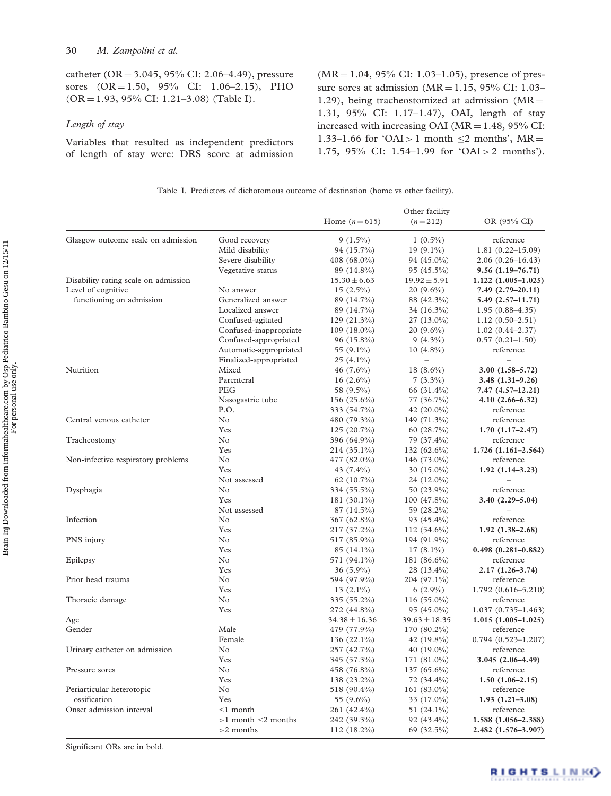catheter (OR = 3.045, 95% CI: 2.06-4.49), pressure sores  $(OR = 1.50, 95\% \text{ CI: } 1.06-2.15)$ , PHO  $(OR = 1.93, 95\% \text{ CI: } 1.21 - 3.08)$  (Table I).

## Length of stay

Variables that resulted as independent predictors of length of stay were: DRS score at admission  $(MR = 1.04, 95\% \text{ CI: } 1.03 - 1.05)$ , presence of pressure sores at admission ( $MR = 1.15$ , 95% CI: 1.03– 1.29), being tracheostomized at admission ( $MR =$ 1.31, 95% CI: 1.17–1.47), OAI, length of stay increased with increasing OAI ( $MR = 1.48$ , 95% CI: 1.33–1.66 for 'OAI > 1 month  $\leq$ 2 months', MR = 1.75, 95% CI: 1.54–1.99 for 'OAI > 2 months').

Table I. Predictors of dichotomous outcome of destination (home vs other facility).

|                                      |                            | Home $(n = 615)$  | Other facility<br>$(n=212)$ | OR (95% CI)               |
|--------------------------------------|----------------------------|-------------------|-----------------------------|---------------------------|
|                                      |                            |                   |                             |                           |
| Glasgow outcome scale on admission   | Good recovery              | $9(1.5\%)$        | $1(0.5\%)$                  | reference                 |
|                                      | Mild disability            | 94 (15.7%)        | 19 (9.1%)                   | $1.81(0.22 - 15.09)$      |
|                                      | Severe disability          | $408(68.0\%)$     | $94(45.0\%)$                | $2.06(0.26 - 16.43)$      |
|                                      | Vegetative status          | 89 (14.8%)        | $95(45.5\%)$                | $9.56(1.19-76.71)$        |
| Disability rating scale on admission |                            | $15.30 \pm 6.63$  | $19.92 \pm 5.91$            | $1.122(1.005-1.025)$      |
| Level of cognitive                   | No answer                  | $15(2.5\%)$       | $20(9.6\%)$                 | $7.49(2.79-20.11)$        |
| functioning on admission             | Generalized answer         | 89 (14.7%)        | 88 (42.3%)                  | $5.49(2.57 - 11.71)$      |
|                                      | Localized answer           | 89 (14.7%)        | 34 $(16.3\%)$               | $1.95(0.88-4.35)$         |
|                                      | Confused-agitated          | $129(21.3\%)$     | $27(13.0\%)$                | $1.12(0.50-2.51)$         |
|                                      | Confused-inappropriate     | $109(18.0\%)$     | $20(9.6\%)$                 | $1.02(0.44 - 2.37)$       |
|                                      | Confused-appropriated      | $96(15.8\%)$      | $9(4.3\%)$                  | $0.57(0.21-1.50)$         |
|                                      | Automatic-appropriated     | 55 $(9.1\%)$      | $10(4.8\%)$                 | reference                 |
|                                      | Finalized-appropriated     | $25(4.1\%)$       |                             |                           |
| Nutrition                            | Mixed                      | $46(7.6\%)$       | $18(8.6\%)$                 | $3.00(1.58 - 5.72)$       |
|                                      | Parenteral                 | $16(2.6\%)$       | $7(3.3\%)$                  | $3.48(1.31-9.26)$         |
|                                      | <b>PEG</b>                 | 58 (9.5%)         | 66 (31.4%)                  | $7.47(4.57-12.21)$        |
|                                      | Nasogastric tube           | 156 (25.6%)       | $77(36.7\%)$                | $4.10(2.66-6.32)$         |
|                                      | P.O.                       | 333 (54.7%)       | 42 $(20.0\%)$               | reference                 |
| Central venous catheter              | No                         | 480 (79.3%)       | 149 $(71.3\%)$              | reference                 |
|                                      | Yes                        | $125(20.7\%)$     | 60 $(28.7\%)$               | $1.70(1.17-2.47)$         |
| Tracheostomy                         | No                         | 396 (64.9%)       | 79 (37.4%)                  | reference                 |
|                                      | Yes                        | $214(35.1\%)$     | 132 $(62.6\%)$              | $1.726$ $(1.161 - 2.564)$ |
| Non-infective respiratory problems   | No                         | 477 (82.0%)       | 146 (73.0%)                 | reference                 |
|                                      | Yes                        | 43 (7.4%)         | $30(15.0\%)$                | $1.92(1.14 - 3.23)$       |
|                                      | Not assessed               | 62 $(10.7\%)$     | $24(12.0\%)$                |                           |
| Dysphagia                            | No                         | 334 (55.5%)       | 50 $(23.9\%)$               | reference                 |
|                                      | Yes                        | 181 $(30.1\%)$    | $100(47.8\%)$               | $3.40(2.29 - 5.04)$       |
|                                      | Not assessed               | $87(14.5\%)$      | 59 (28.2%)                  |                           |
| Infection                            | No                         | 367 $(62.8\%)$    | 93 $(45.4\%)$               | reference                 |
|                                      | Yes                        | 217 (37.2%)       | $112(54.6\%)$               | $1.92(1.38-2.68)$         |
| PNS injury                           | No                         | 517 (85.9%)       | $194(91.9\%)$               | reference                 |
|                                      | Yes                        | $85(14.1\%)$      | $17(8.1\%)$                 | $0.498(0.281 - 0.882)$    |
| Epilepsy                             | No                         | 571 (94.1%)       | $181 (86.6\%)$              | reference                 |
|                                      | Yes                        | $36(5.9\%)$       | 28 (13.4%)                  | $2.17(1.26 - 3.74)$       |
| Prior head trauma                    | No                         | 594 (97.9%)       | 204 (97.1%)                 | reference                 |
|                                      | Yes                        | 13 $(2.1\%)$      | $6(2.9\%)$                  | $1.792(0.616 - 5.210)$    |
| Thoracic damage                      | No                         | $335(55.2\%)$     | $116(55.0\%)$               | reference                 |
|                                      | Yes                        | 272 (44.8%)       | $95(45.0\%)$                | $1.037(0.735-1.463)$      |
| Age                                  |                            | $34.38 \pm 16.36$ | $39.63 \pm 18.35$           | $1.015(1.005-1.025)$      |
| Gender                               | Male                       | 479 (77.9%)       | $170(80.2\%)$               | reference                 |
|                                      | Female                     | 136 $(22.1\%)$    | 42 $(19.8\%)$               | $0.794(0.523 - 1.207)$    |
| Urinary catheter on admission        | No                         | 257 (42.7%)       | $40(19.0\%)$                | reference                 |
|                                      | Yes                        | 345 (57.3%)       | 171 (81.0%)                 | 3.045 (2.06-4.49)         |
| Pressure sores                       | No                         | 458 (76.8%)       | $137(65.6\%)$               | reference                 |
|                                      | Yes                        | $138(23.2\%)$     | $72(34.4\%)$                | $1.50(1.06-2.15)$         |
| Periarticular heterotopic            | No                         | 518 (90.4%)       | 161 $(83.0\%)$              | reference                 |
| ossification                         | Yes                        | 55 $(9.6\%)$      | 33 $(17.0\%)$               | $1.93(1.21-3.08)$         |
| Onset admission interval             | $\leq$ 1 month             | 261 (42.4%)       | 51 $(24.1\%)$               | reference                 |
|                                      | $>1$ month $\leq$ 2 months | 242 (39.3%)       | $92(43.4\%)$                | $1.588(1.056-2.388)$      |
|                                      | $>2$ months                | $112(18.2\%)$     | 69 $(32.5\%)$               | $2.482(1.576 - 3.907)$    |

Significant ORs are in bold.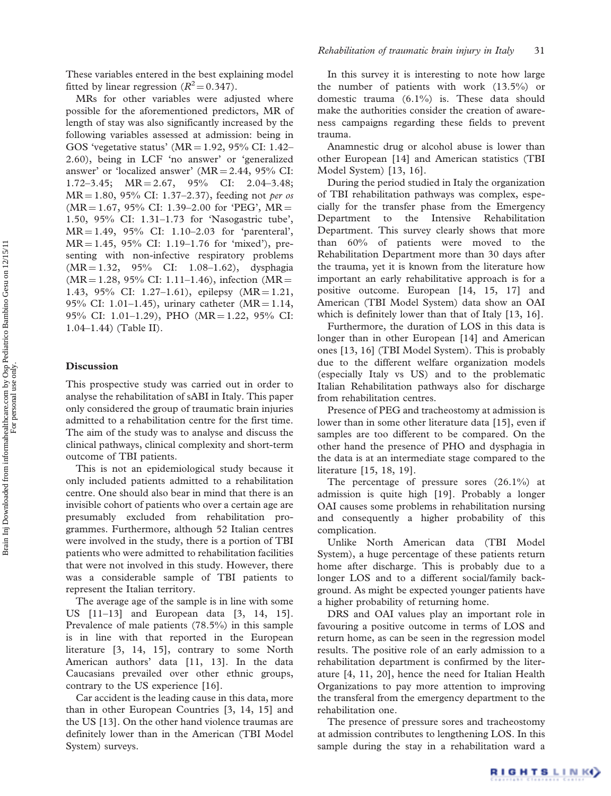MRs for other variables were adjusted where possible for the aforementioned predictors, MR of length of stay was also significantly increased by the following variables assessed at admission: being in GOS 'vegetative status' ( $MR = 1.92$ , 95% CI: 1.42– 2.60), being in LCF 'no answer' or 'generalized answer' or 'localized answer' ( $MR = 2.44$ , 95% CI: 1.72–3.45;  $MR = 2.67$ , 95% CI: 2.04–3.48;  $MR = 1.80, 95\%$  CI: 1.37–2.37), feeding not *per os*  $(MR = 1.67, 95\% \text{ CI: } 1.39 - 2.00 \text{ for } 'PEG', MR =$ 1.50, 95% CI: 1.31–1.73 for 'Nasogastric tube',  $MR = 1.49$ , 95% CI:  $1.10 - 2.03$  for 'parenteral',  $MR = 1.45$ , 95% CI: 1.19–1.76 for 'mixed'), presenting with non-infective respiratory problems  $(MR = 1.32, 95\% \text{ CI: } 1.08-1.62), \text{ dysphagia}$  $(MR = 1.28, 95\% \text{ CI: } 1.11 - 1.46),$  infection  $(MR =$ 1.43, 95% CI: 1.27-1.61), epilepsy  $(MR = 1.21,$ 95% CI: 1.01–1.45), urinary catheter (MR = 1.14, 95% CI: 1.01-1.29), PHO (MR=1.22, 95% CI: 1.04–1.44) (Table II).

## Discussion

This prospective study was carried out in order to analyse the rehabilitation of sABI in Italy. This paper only considered the group of traumatic brain injuries admitted to a rehabilitation centre for the first time. The aim of the study was to analyse and discuss the clinical pathways, clinical complexity and short-term outcome of TBI patients.

This is not an epidemiological study because it only included patients admitted to a rehabilitation centre. One should also bear in mind that there is an invisible cohort of patients who over a certain age are presumably excluded from rehabilitation programmes. Furthermore, although 52 Italian centres were involved in the study, there is a portion of TBI patients who were admitted to rehabilitation facilities that were not involved in this study. However, there was a considerable sample of TBI patients to represent the Italian territory.

The average age of the sample is in line with some US [11–13] and European data [3, 14, 15]. Prevalence of male patients (78.5%) in this sample is in line with that reported in the European literature [3, 14, 15], contrary to some North American authors' data [11, 13]. In the data Caucasians prevailed over other ethnic groups, contrary to the US experience [16].

Car accident is the leading cause in this data, more than in other European Countries [3, 14, 15] and the US [13]. On the other hand violence traumas are definitely lower than in the American (TBI Model System) surveys.

In this survey it is interesting to note how large the number of patients with work (13.5%) or domestic trauma (6.1%) is. These data should make the authorities consider the creation of awareness campaigns regarding these fields to prevent trauma.

Anamnestic drug or alcohol abuse is lower than other European [14] and American statistics (TBI Model System) [13, 16].

During the period studied in Italy the organization of TBI rehabilitation pathways was complex, especially for the transfer phase from the Emergency Department to the Intensive Rehabilitation Department. This survey clearly shows that more than 60% of patients were moved to the Rehabilitation Department more than 30 days after the trauma, yet it is known from the literature how important an early rehabilitative approach is for a positive outcome. European [14, 15, 17] and American (TBI Model System) data show an OAI which is definitely lower than that of Italy [13, 16].

Furthermore, the duration of LOS in this data is longer than in other European [14] and American ones [13, 16] (TBI Model System). This is probably due to the different welfare organization models (especially Italy vs US) and to the problematic Italian Rehabilitation pathways also for discharge from rehabilitation centres.

Presence of PEG and tracheostomy at admission is lower than in some other literature data [15], even if samples are too different to be compared. On the other hand the presence of PHO and dysphagia in the data is at an intermediate stage compared to the literature [15, 18, 19].

The percentage of pressure sores  $(26.1\%)$  at admission is quite high [19]. Probably a longer OAI causes some problems in rehabilitation nursing and consequently a higher probability of this complication.

Unlike North American data (TBI Model System), a huge percentage of these patients return home after discharge. This is probably due to a longer LOS and to a different social/family background. As might be expected younger patients have a higher probability of returning home.

DRS and OAI values play an important role in favouring a positive outcome in terms of LOS and return home, as can be seen in the regression model results. The positive role of an early admission to a rehabilitation department is confirmed by the literature [4, 11, 20], hence the need for Italian Health Organizations to pay more attention to improving the transferal from the emergency department to the rehabilitation one.

The presence of pressure sores and tracheostomy at admission contributes to lengthening LOS. In this sample during the stay in a rehabilitation ward a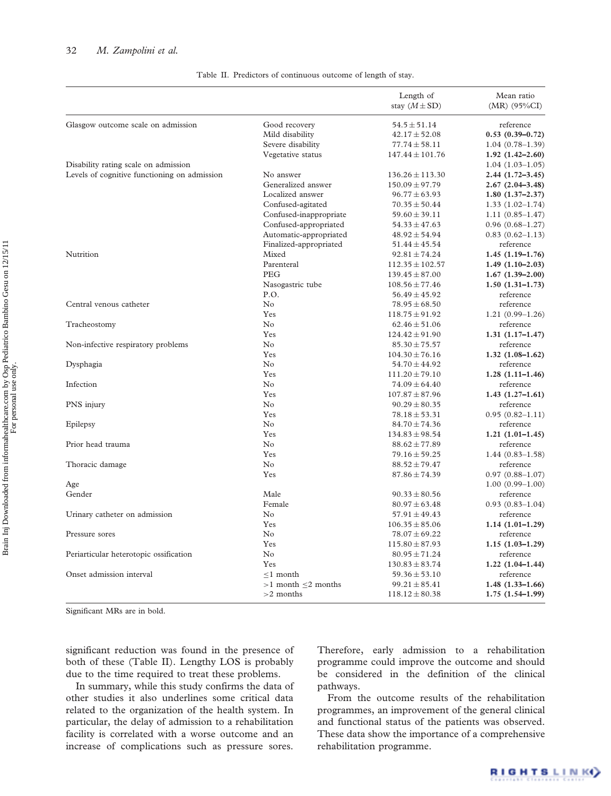|                                              |                            | Length of           | Mean ratio          |
|----------------------------------------------|----------------------------|---------------------|---------------------|
|                                              |                            | stay $(M \pm SD)$   | $(MR)$ (95%CI)      |
| Glasgow outcome scale on admission           | Good recovery              | $54.5 \pm 51.14$    | reference           |
|                                              | Mild disability            | $42.17 \pm 52.08$   | $0.53(0.39 - 0.72)$ |
|                                              | Severe disability          | $77.74 \pm 58.11$   | $1.04(0.78-1.39)$   |
|                                              | Vegetative status          | $147.44 \pm 101.76$ | $1.92(1.42 - 2.60)$ |
| Disability rating scale on admission         |                            |                     | $1.04(1.03-1.05)$   |
| Levels of cognitive functioning on admission | No answer                  | $136.26 \pm 113.30$ | $2.44(1.72 - 3.45)$ |
|                                              | Generalized answer         | $150.09 \pm 97.79$  | $2.67(2.04-3.48)$   |
|                                              | Localized answer           | $96.77 \pm 63.93$   | $1.80(1.37-2.37)$   |
|                                              | Confused-agitated          | $70.35 \pm 50.44$   | $1.33(1.02 - 1.74)$ |
|                                              | Confused-inappropriate     | $59.60 \pm 39.11$   | $1.11(0.85-1.47)$   |
|                                              | Confused-appropriated      | $54.33 \pm 47.63$   | $0.96(0.68 - 1.27)$ |
|                                              | Automatic-appropriated     | $48.92 \pm 54.94$   | $0.83(0.62 - 1.13)$ |
|                                              | Finalized-appropriated     | $51.44 \pm 45.54$   | reference           |
| Nutrition                                    | Mixed                      | $92.81 \pm 74.24$   | $1.45(1.19-1.76)$   |
|                                              | Parenteral                 | $112.35 \pm 102.57$ | $1.49(1.10-2.03)$   |
|                                              | <b>PEG</b>                 | $139.45 \pm 87.00$  | $1.67(1.39-2.00)$   |
|                                              | Nasogastric tube           | $108.56 \pm 77.46$  | $1.50(1.31-1.73)$   |
|                                              | P.O.                       | $56.49 \pm 45.92$   | reference           |
| Central venous catheter                      | No                         | $78.95 \pm 68.50$   | reference           |
|                                              | Yes                        | $118.75 \pm 91.92$  | $1.21(0.99-1.26)$   |
| Tracheostomy                                 | No                         | $62.46 \pm 51.06$   | reference           |
|                                              | Yes                        | $124.42 \pm 91.90$  | $1.31(1.17-1.47)$   |
| Non-infective respiratory problems           | No                         | $85.30 \pm 75.57$   | reference           |
|                                              | Yes                        | $104.30 \pm 76.16$  | $1.32(1.08-1.62)$   |
| Dysphagia                                    | No                         | $54.70 \pm 44.92$   | reference           |
|                                              | Yes                        | $111.20 \pm 79.10$  | $1.28(1.11-1.46)$   |
| Infection                                    | No                         | $74.09 \pm 64.40$   | reference           |
|                                              | Yes                        | $107.87 \pm 87.96$  | $1.43(1.27-1.61)$   |
| PNS injury                                   | No                         | $90.29 \pm 80.35$   | reference           |
|                                              | Yes                        | $78.18 \pm 53.31$   | $0.95(0.82 - 1.11)$ |
| Epilepsy                                     | No                         | $84.70 \pm 74.36$   | reference           |
|                                              | Yes                        | $134.83 \pm 98.54$  | $1.21(1.01-1.45)$   |
| Prior head trauma                            | No                         | $88.62 \pm 77.89$   | reference           |
|                                              | Yes                        | $79.16 \pm 59.25$   | $1.44(0.83 - 1.58)$ |
| Thoracic damage                              | No                         | $88.52 \pm 79.47$   | reference           |
|                                              | Yes                        | $87.86 \pm 74.39$   | $0.97(0.88 - 1.07)$ |
| Age                                          |                            |                     | $1.00(0.99-1.00)$   |
| Gender                                       | Male                       | $90.33 \pm 80.56$   | reference           |
|                                              | Female                     | $80.97 \pm 63.48$   | $0.93(0.83 - 1.04)$ |
| Urinary catheter on admission                | No                         | $57.91 \pm 49.43$   | reference           |
|                                              | Yes                        | $106.35 \pm 85.06$  | $1.14(1.01-1.29)$   |
| Pressure sores                               | No                         | $78.07 \pm 69.22$   | reference           |
|                                              | Yes                        | $115.80 \pm 87.93$  | $1.15(1.03-1.29)$   |
| Periarticular heterotopic ossification       | No                         | $80.95 \pm 71.24$   | reference           |
|                                              | Yes                        | $130.83 \pm 83.74$  | $1.22(1.04-1.44)$   |
| Onset admission interval                     | $\leq 1$ month             | $59.36 \pm 53.10$   | reference           |
|                                              | $>1$ month $\leq$ 2 months | $99.21 \pm 85.41$   | $1.48(1.33-1.66)$   |
|                                              | $>2$ months                | $118.12 \pm 80.38$  | $1.75(1.54-1.99)$   |

|  |  |  |  | Table II. Predictors of continuous outcome of length of stay. |  |  |  |  |  |
|--|--|--|--|---------------------------------------------------------------|--|--|--|--|--|
|--|--|--|--|---------------------------------------------------------------|--|--|--|--|--|

Significant MRs are in bold.

significant reduction was found in the presence of both of these (Table II). Lengthy LOS is probably due to the time required to treat these problems.

In summary, while this study confirms the data of other studies it also underlines some critical data related to the organization of the health system. In particular, the delay of admission to a rehabilitation facility is correlated with a worse outcome and an increase of complications such as pressure sores.

Therefore, early admission to a rehabilitation programme could improve the outcome and should be considered in the definition of the clinical pathways.

From the outcome results of the rehabilitation programmes, an improvement of the general clinical and functional status of the patients was observed. These data show the importance of a comprehensive rehabilitation programme.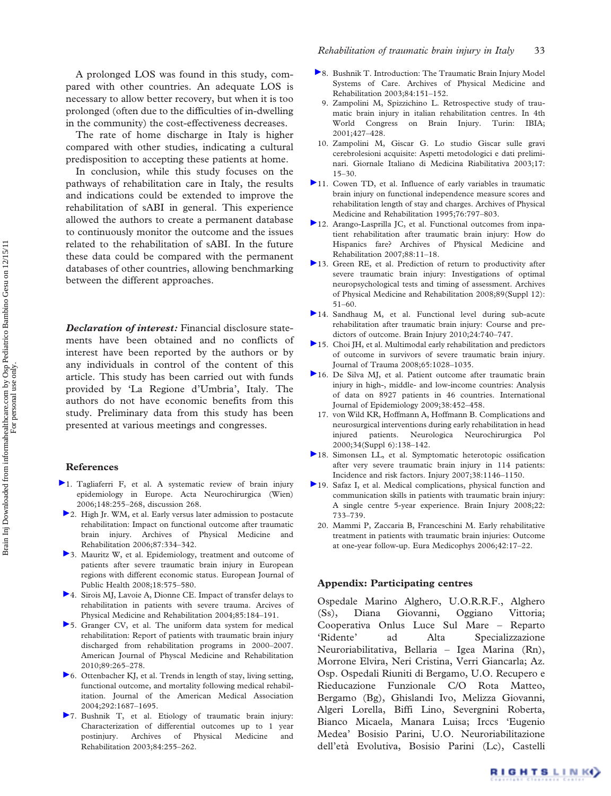A prolonged LOS was found in this study, compared with other countries. An adequate LOS is necessary to allow better recovery, but when it is too prolonged (often due to the difficulties of in-dwelling in the community) the cost-effectiveness decreases.

The rate of home discharge in Italy is higher compared with other studies, indicating a cultural predisposition to accepting these patients at home.

In conclusion, while this study focuses on the pathways of rehabilitation care in Italy, the results and indications could be extended to improve the rehabilitation of sABI in general. This experience allowed the authors to create a permanent database to continuously monitor the outcome and the issues related to the rehabilitation of sABI. In the future these data could be compared with the permanent databases of other countries, allowing benchmarking between the different approaches.

**Declaration of interest:** Financial disclosure statements have been obtained and no conflicts of interest have been reported by the authors or by any individuals in control of the content of this article. This study has been carried out with funds provided by 'La Regione d'Umbria', Italy. The authors do not have economic benefits from this study. Preliminary data from this study has been presented at various meetings and congresses.

## References

- 1. Tagliaferri F, et al. A systematic review of brain injury epidemiology in Europe. Acta Neurochirurgica (Wien) 2006;148:255–268, discussion 268.
- ▶ 2. High Jr. WM, et al. Early versus later admission to postacute rehabilitation: Impact on functional outcome after traumatic brain injury. Archives of Physical Medicine and Rehabilitation 2006;87:334–342.
- 3. Mauritz W, et al. Epidemiology, treatment and outcome of patients after severe traumatic brain injury in European regions with different economic status. European Journal of Public Health 2008;18:575–580.
- 4. Sirois MJ, Lavoie A, Dionne CE. Impact of transfer delays to rehabilitation in patients with severe trauma. Arcives of Physical Medicine and Rehabilitation 2004;85:184–191.
- 5. Granger CV, et al. The uniform data system for medical rehabilitation: Report of patients with traumatic brain injury discharged from rehabilitation programs in 2000–2007. American Journal of Physcal Medicine and Rehabilitation 2010;89:265–278.
- 6. Ottenbacher KJ, et al. Trends in length of stay, living setting, functional outcome, and mortality following medical rehabilitation. Journal of the American Medical Association 2004;292:1687–1695.
- 7. Bushnik T, et al. Etiology of traumatic brain injury: Characterization of differential outcomes up to 1 year postinjury. Archives of Physical Medicine and Rehabilitation 2003;84:255–262.
- 8. Bushnik T. Introduction: The Traumatic Brain Injury Model Systems of Care. Archives of Physical Medicine and Rehabilitation 2003;84:151–152.
	- 9. Zampolini M, Spizzichino L. Retrospective study of traumatic brain injury in italian rehabilitation centres. In 4th World Congress on Brain Injury. Turin: IBIA; 2001;427–428.
- 10. Zampolini M, Giscar G. Lo studio Giscar sulle gravi cerebrolesioni acquisite: Aspetti metodologici e dati preliminari. Giornale Italiano di Medicina Riabilitativa 2003;17: 15–30.
- 11. Cowen TD, et al. Influence of early variables in traumatic brain injury on functional independence measure scores and rehabilitation length of stay and charges. Archives of Physical Medicine and Rehabilitation 1995;76:797–803.
- 12. Arango-Lasprilla JC, et al. Functional outcomes from inpatient rehabilitation after traumatic brain injury: How do Hispanics fare? Archives of Physical Medicine and Rehabilitation 2007;88:11–18.
- 13. Green RE, et al. Prediction of return to productivity after severe traumatic brain injury: Investigations of optimal neuropsychological tests and timing of assessment. Archives of Physical Medicine and Rehabilitation 2008;89(Suppl 12): 51–60.
- 14. Sandhaug M, et al. Functional level during sub-acute rehabilitation after traumatic brain injury: Course and predictors of outcome. Brain Injury 2010;24:740–747.
- 15. Choi JH, et al. Multimodal early rehabilitation and predictors of outcome in survivors of severe traumatic brain injury. Journal of Trauma 2008;65:1028–1035.
- 16. De Silva MJ, et al. Patient outcome after traumatic brain injury in high-, middle- and low-income countries: Analysis of data on 8927 patients in 46 countries. International Journal of Epidemiology 2009;38:452–458.
	- 17. von Wild KR, Hoffmann A, Hoffmann B. Complications and neurosurgical interventions during early rehabilitation in head injured patients. Neurologica Neurochirurgica Pol 2000;34(Suppl 6):138–142.
- 18. Simonsen LL, et al. Symptomatic heterotopic ossification after very severe traumatic brain injury in 114 patients: Incidence and risk factors. Injury 2007;38:1146–1150.
- 19. Safaz I, et al. Medical complications, physical function and communication skills in patients with traumatic brain injury: A single centre 5-year experience. Brain Injury 2008;22: 733–739.
	- 20. Mammi P, Zaccaria B, Franceschini M. Early rehabilitative treatment in patients with traumatic brain injuries: Outcome at one-year follow-up. Eura Medicophys 2006;42:17–22.

#### Appendix: Participating centres

Ospedale Marino Alghero, U.O.R.R.F., Alghero (Ss), Diana Giovanni, Oggiano Vittoria; Cooperativa Onlus Luce Sul Mare – Reparto 'Ridente' ad Alta Specializzazione Neuroriabilitativa, Bellaria – Igea Marina (Rn), Morrone Elvira, Neri Cristina, Verri Giancarla; Az. Osp. Ospedali Riuniti di Bergamo, U.O. Recupero e Rieducazione Funzionale C/O Rota Matteo, Bergamo (Bg), Ghislandi Ivo, Melizza Giovanni, Algeri Lorella, Biffi Lino, Severgnini Roberta, Bianco Micaela, Manara Luisa; Irccs 'Eugenio Medea' Bosisio Parini, U.O. Neuroriabilitazione dell'eta` Evolutiva, Bosisio Parini (Lc), Castelli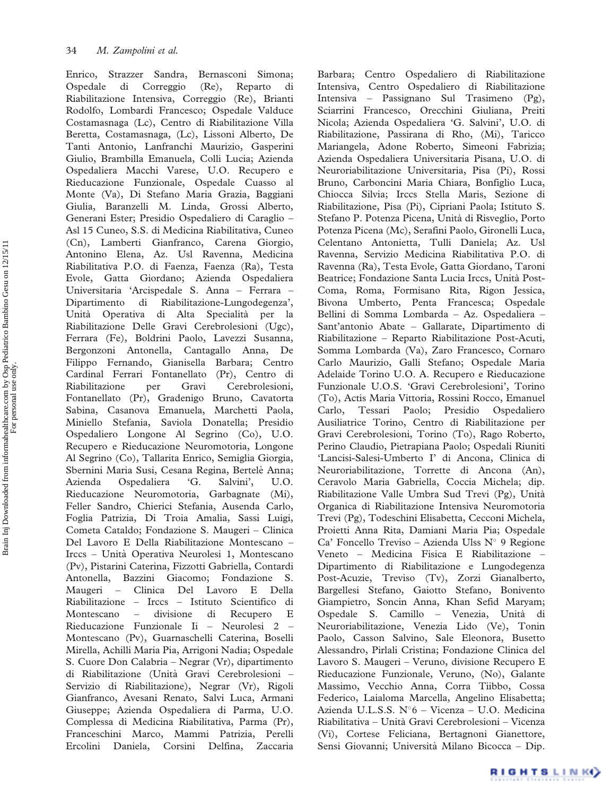Enrico, Strazzer Sandra, Bernasconi Simona; Ospedale di Correggio (Re), Reparto di Riabilitazione Intensiva, Correggio (Re), Brianti Rodolfo, Lombardi Francesco; Ospedale Valduce Costamasnaga (Lc), Centro di Riabilitazione Villa Beretta, Costamasnaga, (Lc), Lissoni Alberto, De Tanti Antonio, Lanfranchi Maurizio, Gasperini Giulio, Brambilla Emanuela, Colli Lucia; Azienda Ospedaliera Macchi Varese, U.O. Recupero e Rieducazione Funzionale, Ospedale Cuasso al Monte (Va), Di Stefano Maria Grazia, Baggiani Giulia, Baranzelli M. Linda, Grossi Alberto, Generani Ester; Presidio Ospedaliero di Caraglio – Asl 15 Cuneo, S.S. di Medicina Riabilitativa, Cuneo (Cn), Lamberti Gianfranco, Carena Giorgio, Antonino Elena, Az. Usl Ravenna, Medicina Riabilitativa P.O. di Faenza, Faenza (Ra), Testa Evole, Gatta Giordano; Azienda Ospedaliera Universitaria 'Arcispedale S. Anna – Ferrara – Dipartimento di Riabilitazione-Lungodegenza', Unità Operativa di Alta Specialità per la Riabilitazione Delle Gravi Cerebrolesioni (Ugc), Ferrara (Fe), Boldrini Paolo, Lavezzi Susanna, Bergonzoni Antonella, Cantagallo Anna, De Filippo Fernando, Gianisella Barbara; Centro Cardinal Ferrari Fontanellato (Pr), Centro di Riabilitazione per Gravi Cerebrolesioni, Fontanellato (Pr), Gradenigo Bruno, Cavatorta Sabina, Casanova Emanuela, Marchetti Paola, Miniello Stefania, Saviola Donatella; Presidio Ospedaliero Longone Al Segrino (Co), U.O. Recupero e Rieducazione Neuromotoria, Longone Al Segrino (Co), Tallarita Enrico, Semiglia Giorgia, Sbernini Maria Susi, Cesana Regina, Bertelè Anna; Azienda Ospedaliera 'G. Salvini', U.O. Rieducazione Neuromotoria, Garbagnate (Mi), Feller Sandro, Chierici Stefania, Ausenda Carlo, Foglia Patrizia, Di Troia Amalia, Sassi Luigi, Cometa Cataldo; Fondazione S. Maugeri – Clinica Del Lavoro E Della Riabilitazione Montescano – Irccs – Unita` Operativa Neurolesi 1, Montescano (Pv), Pistarini Caterina, Fizzotti Gabriella, Contardi Antonella, Bazzini Giacomo; Fondazione S. Maugeri – Clinica Del Lavoro E Della Riabilitazione – Irccs – Istituto Scientifico di Montescano – divisione di Recupero E Rieducazione Funzionale Ii – Neurolesi 2 – Montescano (Pv), Guarnaschelli Caterina, Boselli Mirella, Achilli Maria Pia, Arrigoni Nadia; Ospedale S. Cuore Don Calabria – Negrar (Vr), dipartimento di Riabilitazione (Unita` Gravi Cerebrolesioni – Servizio di Riabilitazione), Negrar (Vr), Rigoli Gianfranco, Avesani Renato, Salvi Luca, Armani Giuseppe; Azienda Ospedaliera di Parma, U.O. Complessa di Medicina Riabilitativa, Parma (Pr), Franceschini Marco, Mammi Patrizia, Perelli Ercolini Daniela, Corsini Delfina, Zaccaria Barbara; Centro Ospedaliero di Riabilitazione Intensiva, Centro Ospedaliero di Riabilitazione Intensiva – Passignano Sul Trasimeno (Pg), Sciarrini Francesco, Orecchini Giuliana, Preiti Nicola; Azienda Ospedaliera 'G. Salvini', U.O. di Riabilitazione, Passirana di Rho, (Mi), Taricco Mariangela, Adone Roberto, Simeoni Fabrizia; Azienda Ospedaliera Universitaria Pisana, U.O. di Neuroriabilitazione Universitaria, Pisa (Pi), Rossi Bruno, Carboncini Maria Chiara, Bonfiglio Luca, Chiocca Silvia; Irccs Stella Maris, Sezione di Riabilitazione, Pisa (Pi), Cipriani Paola; Istituto S. Stefano P. Potenza Picena, Unita` di Risveglio, Porto Potenza Picena (Mc), Serafini Paolo, Gironelli Luca, Celentano Antonietta, Tulli Daniela; Az. Usl Ravenna, Servizio Medicina Riabilitativa P.O. di Ravenna (Ra), Testa Evole, Gatta Giordano, Taroni Beatrice; Fondazione Santa Lucia Irccs, Unita` Post-Coma, Roma, Formisano Rita, Rigon Jessica, Bivona Umberto, Penta Francesca; Ospedale Bellini di Somma Lombarda – Az. Ospedaliera – Sant'antonio Abate – Gallarate, Dipartimento di Riabilitazione – Reparto Riabilitazione Post-Acuti, Somma Lombarda (Va), Zaro Francesco, Cornaro Carlo Maurizio, Galli Stefano; Ospedale Maria Adelaide Torino U.O. A. Recupero e Rieducazione Funzionale U.O.S. 'Gravi Cerebrolesioni', Torino (To), Actis Maria Vittoria, Rossini Rocco, Emanuel Carlo, Tessari Paolo; Presidio Ospedaliero Ausiliatrice Torino, Centro di Riabilitazione per Gravi Cerebrolesioni, Torino (To), Rago Roberto, Perino Claudio, Pietrapiana Paolo; Ospedali Riuniti 'Lancisi-Salesi-Umberto I' di Ancona, Clinica di Neuroriabilitazione, Torrette di Ancona (An), Ceravolo Maria Gabriella, Coccia Michela; dip. Riabilitazione Valle Umbra Sud Trevi (Pg), Unita` Organica di Riabilitazione Intensiva Neuromotoria Trevi (Pg), Todeschini Elisabetta, Cecconi Michela, Proietti Anna Rita, Damiani Maria Pia; Ospedale Ca' Foncello Treviso - Azienda Ulss N° 9 Regione Veneto – Medicina Fisica E Riabilitazione – Dipartimento di Riabilitazione e Lungodegenza Post-Acuzie, Treviso (Tv), Zorzi Gianalberto, Bargellesi Stefano, Gaiotto Stefano, Bonivento Giampietro, Soncin Anna, Khan Sefid Maryam; Ospedale S. Camillo - Venezia, Unità di Neuroriabilitazione, Venezia Lido (Ve), Tonin Paolo, Casson Salvino, Sale Eleonora, Busetto Alessandro, Pirlali Cristina; Fondazione Clinica del Lavoro S. Maugeri – Veruno, divisione Recupero E Rieducazione Funzionale, Veruno, (No), Galante Massimo, Vecchio Anna, Corra Tiibbo, Cossa Federico, Laialoma Marcella, Angelino Elisabetta; Azienda U.L.S.S. N°6 - Vicenza - U.O. Medicina Riabilitativa – Unita` Gravi Cerebrolesioni – Vicenza (Vi), Cortese Feliciana, Bertagnoni Gianettore, Sensi Giovanni; Universita` Milano Bicocca – Dip.